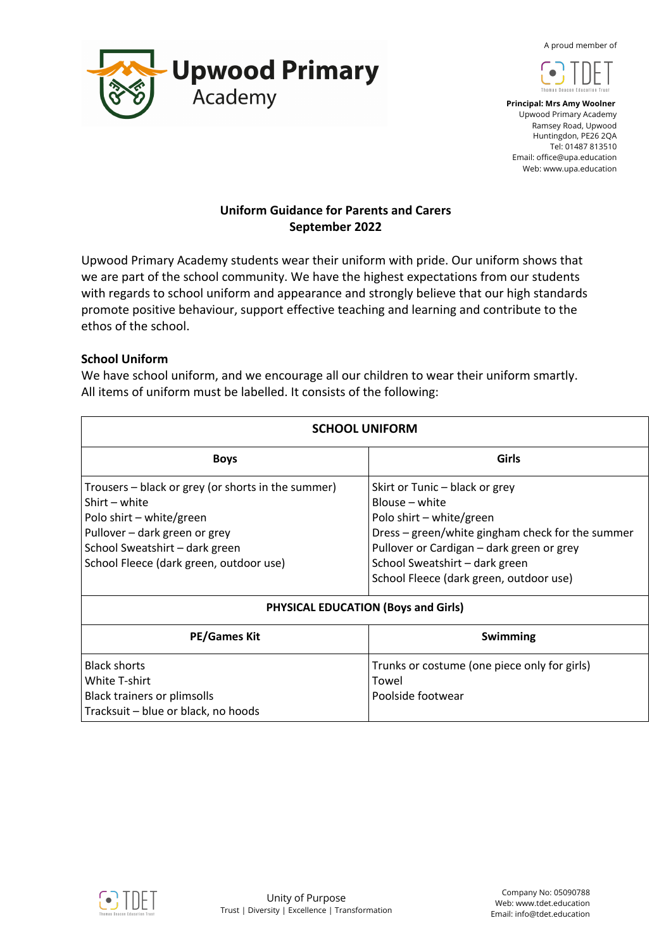A proud member of





 **Principal: Mrs Amy Woolner** Upwood Primary Academy Ramsey Road, Upwood Huntingdon, PE26 2QA Tel: 01487 813510 Email: office@upa.education Web: www.upa.education

# **Uniform Guidance for Parents and Carers September 2022**

Upwood Primary Academy students wear their uniform with pride. Our uniform shows that we are part of the school community. We have the highest expectations from our students with regards to school uniform and appearance and strongly believe that our high standards promote positive behaviour, support effective teaching and learning and contribute to the ethos of the school.

## **School Uniform**

We have school uniform, and we encourage all our children to wear their uniform smartly. All items of uniform must be labelled. It consists of the following:

| <b>SCHOOL UNIFORM</b>                                                                                                                                                                                         |                                                                                                                                                                                                                                                            |
|---------------------------------------------------------------------------------------------------------------------------------------------------------------------------------------------------------------|------------------------------------------------------------------------------------------------------------------------------------------------------------------------------------------------------------------------------------------------------------|
| <b>Boys</b>                                                                                                                                                                                                   | Girls                                                                                                                                                                                                                                                      |
| Trousers – black or grey (or shorts in the summer)<br>Shirt – white<br>Polo shirt - white/green<br>Pullover - dark green or grey<br>School Sweatshirt - dark green<br>School Fleece (dark green, outdoor use) | Skirt or Tunic – black or grey<br>Blouse – white<br>Polo shirt - white/green<br>Dress – green/white gingham check for the summer<br>Pullover or Cardigan – dark green or grey<br>School Sweatshirt - dark green<br>School Fleece (dark green, outdoor use) |
| <b>PHYSICAL EDUCATION (Boys and Girls)</b>                                                                                                                                                                    |                                                                                                                                                                                                                                                            |
| <b>PE/Games Kit</b>                                                                                                                                                                                           | Swimming                                                                                                                                                                                                                                                   |
| <b>Black shorts</b><br><b>White T-shirt</b><br><b>Black trainers or plimsolls</b><br>Tracksuit - blue or black, no hoods                                                                                      | Trunks or costume (one piece only for girls)<br>Towel<br>Poolside footwear                                                                                                                                                                                 |